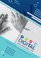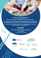## **Develop New Accessibility Skills**

**Welcome to the ERASMUS+ Certified Digital Accessibility Training project!**

**We contribute to digital accessibility for all by developing skills framework, identifying job roles, developing curricula, and trainings for various professionals that co-create the web.**

**If you are interested in digital accessibility visit our [website](https://digital-accessibility.eu/) where you can learn about digital accessibility on ou[r e-learning platform.](http://digital-accessibility.eu/learn/login/index.php)**

#### **Connect with us:**

• **on Facebook**:

<https://www.facebook.com/digitalaccessibilityproject>

• **via our website**:

<https://digital-accessibility.eu/>



Co-funded by the Erasmus+ Programme of the European Union



and Computer Science





š





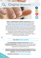# Digital Accessibility



**Erasmus+ Certified Digital Accessibility Training project** started in September 2018 in order to meet the specifications of the European legislation, **[Directive \(EU\) 2016/2102 on the accessibility of the](http://eur-lex.europa.eu/legal-content/EN/TXT/?uri=uriserv:OJ.L_.2016.327.01.0001.01.ENG&&toc=OJ:L:2016:327:TOC)  [websites and mobile applications of public sector bodies](http://eur-lex.europa.eu/legal-content/EN/TXT/?uri=uriserv:OJ.L_.2016.327.01.0001.01.ENG&&toc=OJ:L:2016:327:TOC)**, which directs that all websites and mobile apps of public sector need to be accessible to all by the year 2020. The project includes 6 partnering organizations from four participating European countries: Slovenia, Poland, Greece, and Spain. These partners have been together developing a Certified Digital Accessibility Training, which is offered to diverse groups of key stakeholders as a response for increasing labor market needs for expert in the field of digital accessibility in Europe.

### **Learn about Digital Accessibility**

**The Certified Digital Accessibility Training aims to** strengthen **professional development** of professionals who co-create the web, trainers, teachers and others interested in digital accessibility. The training courses developed can be conducted in the form of:

- **Organized combined training, partly through independent work on an online learning platform, partly by participating in stationary or virtual workshops**, where learners perform practical tasks.
	- **Independent e-learning on [an online learning platform.](http://digital-accessibility.eu/learn/login/index.php)**